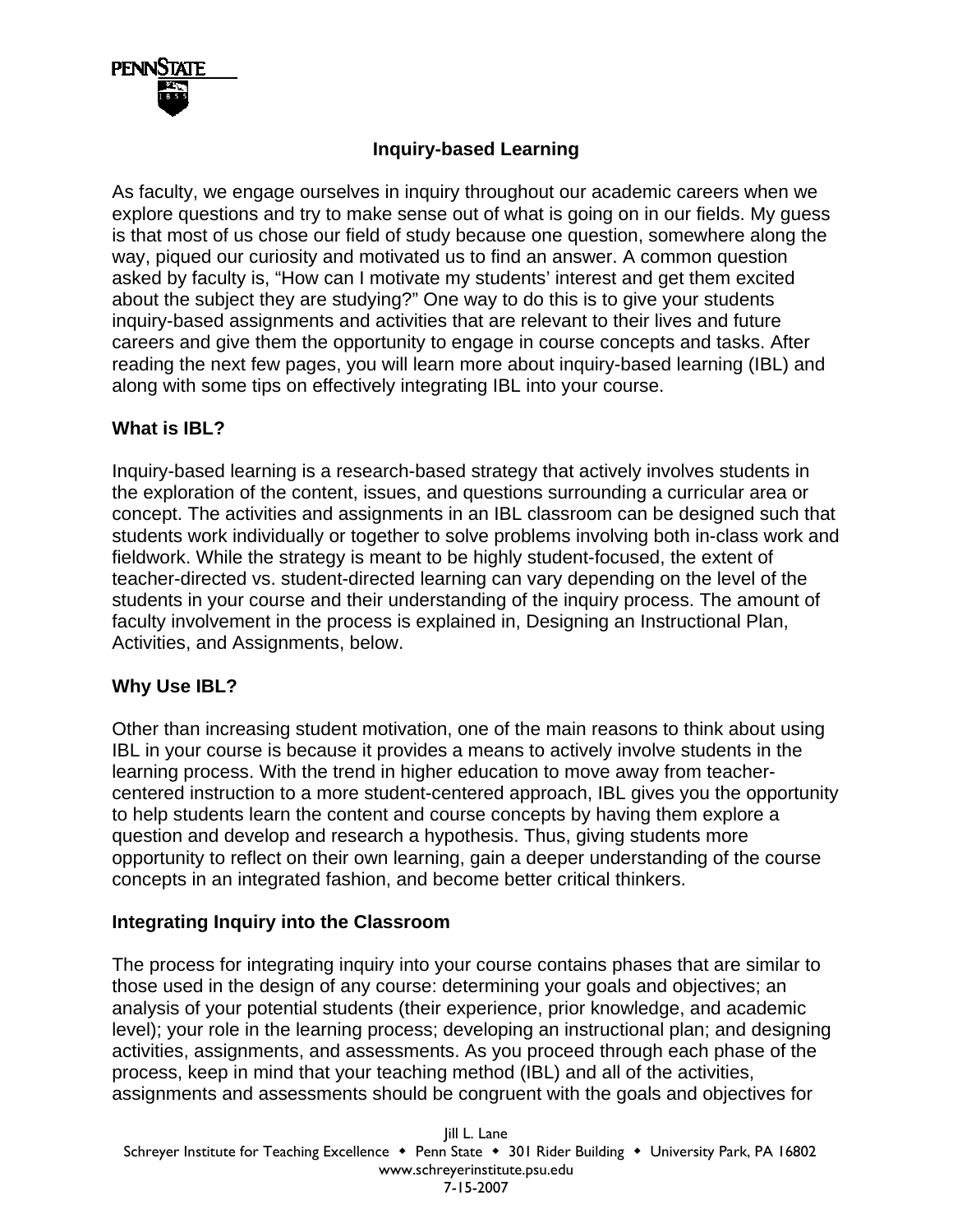

# **Inquiry-based Learning**

As faculty, we engage ourselves in inquiry throughout our academic careers when we explore questions and try to make sense out of what is going on in our fields. My guess is that most of us chose our field of study because one question, somewhere along the way, piqued our curiosity and motivated us to find an answer. A common question asked by faculty is, "How can I motivate my students' interest and get them excited about the subject they are studying?" One way to do this is to give your students inquiry-based assignments and activities that are relevant to their lives and future careers and give them the opportunity to engage in course concepts and tasks. After reading the next few pages, you will learn more about inquiry-based learning (IBL) and along with some tips on effectively integrating IBL into your course.

#### **What is IBL?**

Inquiry-based learning is a research-based strategy that actively involves students in the exploration of the content, issues, and questions surrounding a curricular area or concept. The activities and assignments in an IBL classroom can be designed such that students work individually or together to solve problems involving both in-class work and fieldwork. While the strategy is meant to be highly student-focused, the extent of teacher-directed vs. student-directed learning can vary depending on the level of the students in your course and their understanding of the inquiry process. The amount of faculty involvement in the process is explained in, Designing an Instructional Plan, Activities, and Assignments, below.

### **Why Use IBL?**

Other than increasing student motivation, one of the main reasons to think about using IBL in your course is because it provides a means to actively involve students in the learning process. With the trend in higher education to move away from teachercentered instruction to a more student-centered approach, IBL gives you the opportunity to help students learn the content and course concepts by having them explore a question and develop and research a hypothesis. Thus, giving students more opportunity to reflect on their own learning, gain a deeper understanding of the course concepts in an integrated fashion, and become better critical thinkers.

### **Integrating Inquiry into the Classroom**

The process for integrating inquiry into your course contains phases that are similar to those used in the design of any course: determining your goals and objectives; an analysis of your potential students (their experience, prior knowledge, and academic level); your role in the learning process; developing an instructional plan; and designing activities, assignments, and assessments. As you proceed through each phase of the process, keep in mind that your teaching method (IBL) and all of the activities, assignments and assessments should be congruent with the goals and objectives for

Jill L. Lane Schreyer Institute for Teaching Excellence • Penn State • 301 Rider Building • University Park, PA 16802 www.schreyerinstitute.psu.edu 7-15-2007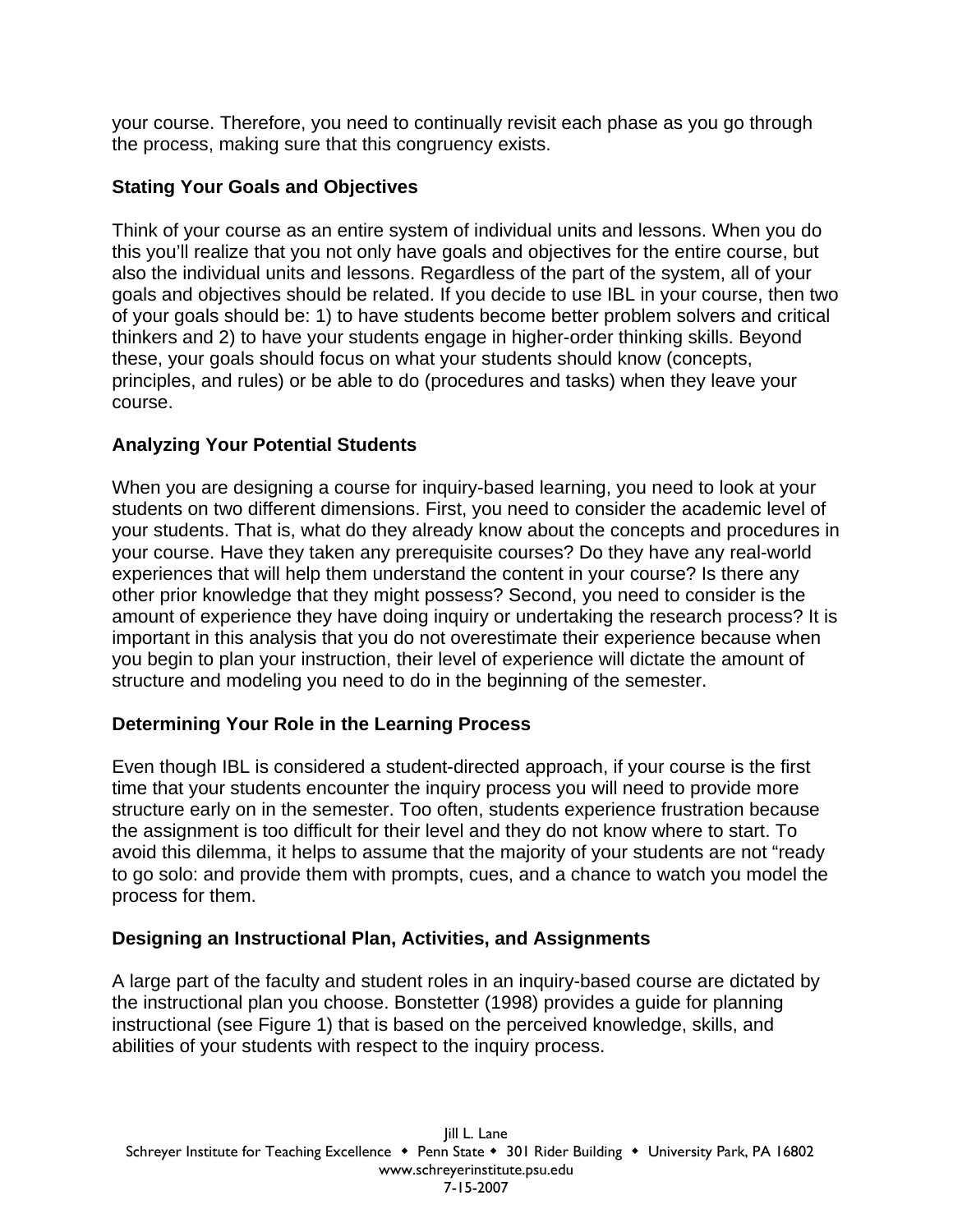your course. Therefore, you need to continually revisit each phase as you go through the process, making sure that this congruency exists.

### **Stating Your Goals and Objectives**

Think of your course as an entire system of individual units and lessons. When you do this you'll realize that you not only have goals and objectives for the entire course, but also the individual units and lessons. Regardless of the part of the system, all of your goals and objectives should be related. If you decide to use IBL in your course, then two of your goals should be: 1) to have students become better problem solvers and critical thinkers and 2) to have your students engage in higher-order thinking skills. Beyond these, your goals should focus on what your students should know (concepts, principles, and rules) or be able to do (procedures and tasks) when they leave your course.

### **Analyzing Your Potential Students**

When you are designing a course for inquiry-based learning, you need to look at your students on two different dimensions. First, you need to consider the academic level of your students. That is, what do they already know about the concepts and procedures in your course. Have they taken any prerequisite courses? Do they have any real-world experiences that will help them understand the content in your course? Is there any other prior knowledge that they might possess? Second, you need to consider is the amount of experience they have doing inquiry or undertaking the research process? It is important in this analysis that you do not overestimate their experience because when you begin to plan your instruction, their level of experience will dictate the amount of structure and modeling you need to do in the beginning of the semester.

# **Determining Your Role in the Learning Process**

Even though IBL is considered a student-directed approach, if your course is the first time that your students encounter the inquiry process you will need to provide more structure early on in the semester. Too often, students experience frustration because the assignment is too difficult for their level and they do not know where to start. To avoid this dilemma, it helps to assume that the majority of your students are not "ready to go solo: and provide them with prompts, cues, and a chance to watch you model the process for them.

### **Designing an Instructional Plan, Activities, and Assignments**

A large part of the faculty and student roles in an inquiry-based course are dictated by the instructional plan you choose. Bonstetter (1998) provides a guide for planning instructional (see Figure 1) that is based on the perceived knowledge, skills, and abilities of your students with respect to the inquiry process.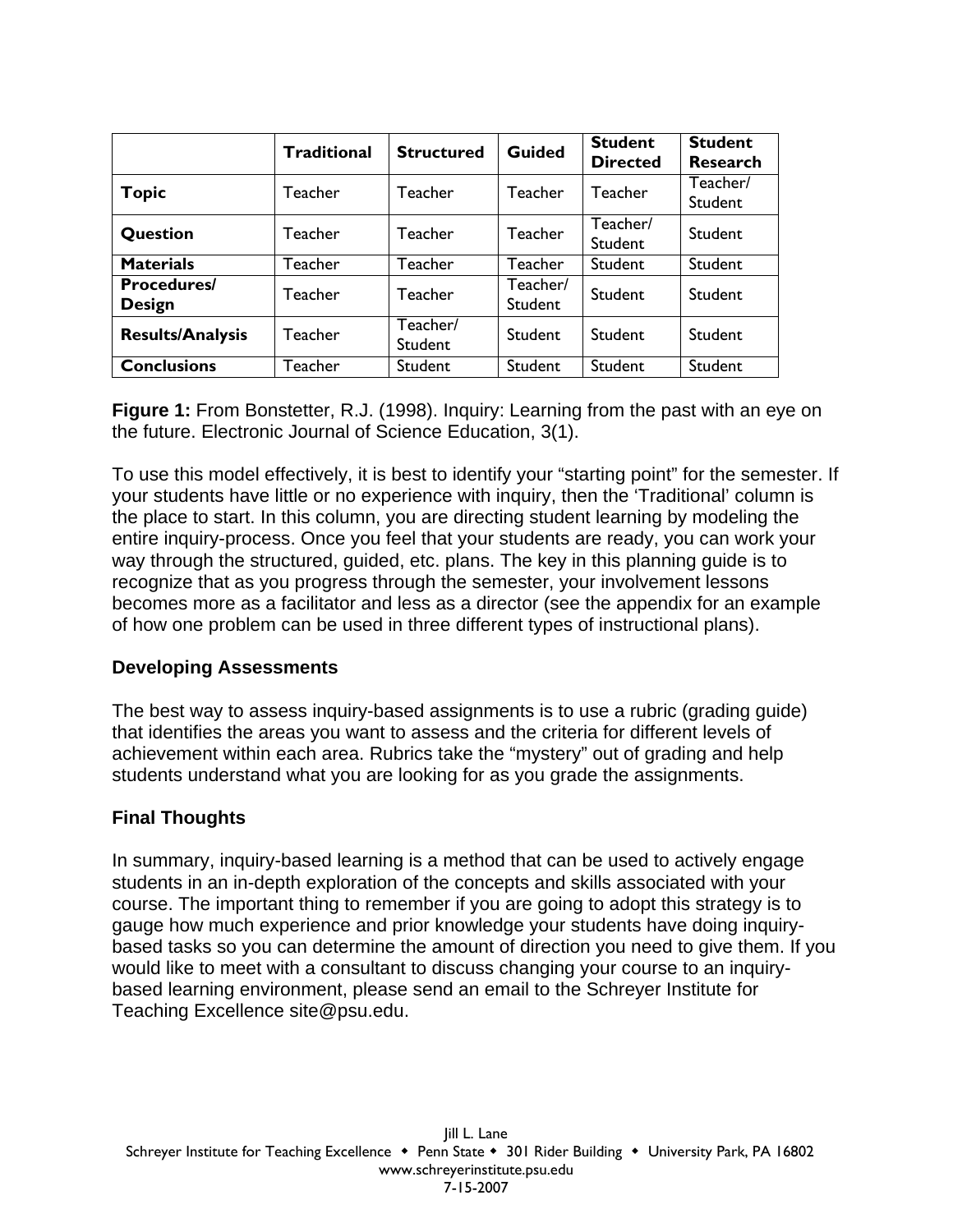|                                     | <b>Traditional</b> | <b>Structured</b>   | <b>Guided</b>       | <b>Student</b><br><b>Directed</b> | <b>Student</b><br><b>Research</b> |
|-------------------------------------|--------------------|---------------------|---------------------|-----------------------------------|-----------------------------------|
| <b>Topic</b>                        | Teacher            | Teacher             | Teacher             | Teacher                           | Teacher/<br>Student               |
| Question                            | Teacher            | Teacher             | Teacher             | Teacher/<br><b>Student</b>        | <b>Student</b>                    |
| <b>Materials</b>                    | Teacher            | Teacher             | <b>Teacher</b>      | <b>Student</b>                    | Student                           |
| <b>Procedures/</b><br><b>Design</b> | Teacher            | Teacher             | Teacher/<br>Student | Student                           | Student                           |
| <b>Results/Analysis</b>             | Teacher            | Teacher/<br>Student | Student             | Student                           | Student                           |
| <b>Conclusions</b>                  | Teacher            | Student             | Student             | Student                           | Student                           |

**Figure 1:** From Bonstetter, R.J. (1998). Inquiry: Learning from the past with an eye on the future. Electronic Journal of Science Education, 3(1).

To use this model effectively, it is best to identify your "starting point" for the semester. If your students have little or no experience with inquiry, then the 'Traditional' column is the place to start. In this column, you are directing student learning by modeling the entire inquiry-process. Once you feel that your students are ready, you can work your way through the structured, guided, etc. plans. The key in this planning guide is to recognize that as you progress through the semester, your involvement lessons becomes more as a facilitator and less as a director (see the appendix for an example of how one problem can be used in three different types of instructional plans).

# **Developing Assessments**

The best way to assess inquiry-based assignments is to use a rubric (grading guide) that identifies the areas you want to assess and the criteria for different levels of achievement within each area. Rubrics take the "mystery" out of grading and help students understand what you are looking for as you grade the assignments.

# **Final Thoughts**

In summary, inquiry-based learning is a method that can be used to actively engage students in an in-depth exploration of the concepts and skills associated with your course. The important thing to remember if you are going to adopt this strategy is to gauge how much experience and prior knowledge your students have doing inquirybased tasks so you can determine the amount of direction you need to give them. If you would like to meet with a consultant to discuss changing your course to an inquirybased learning environment, please send an email to the Schreyer Institute for Teaching Excellence site@psu.edu.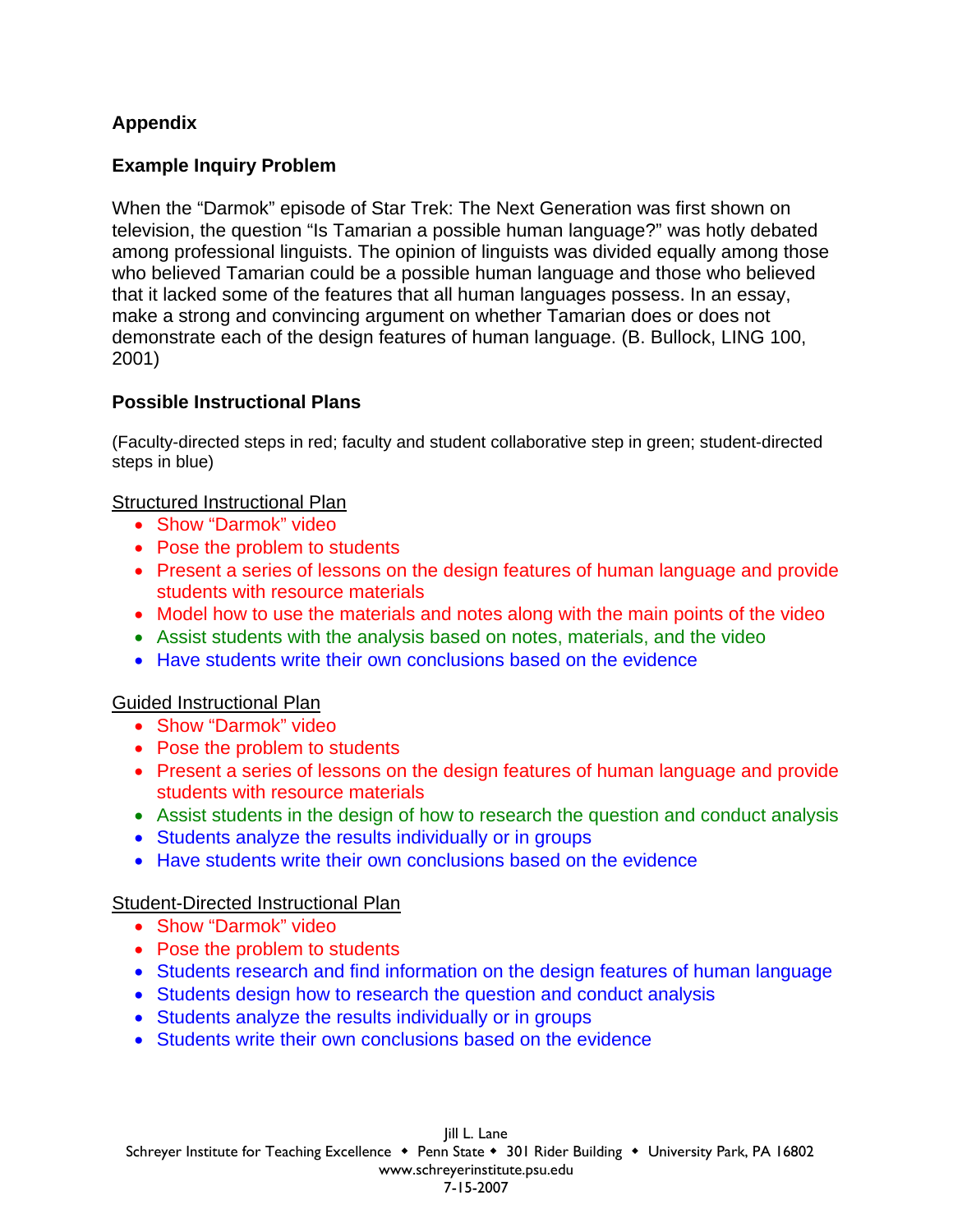# **Appendix**

# **Example Inquiry Problem**

When the "Darmok" episode of Star Trek: The Next Generation was first shown on television, the question "Is Tamarian a possible human language?" was hotly debated among professional linguists. The opinion of linguists was divided equally among those who believed Tamarian could be a possible human language and those who believed that it lacked some of the features that all human languages possess. In an essay, make a strong and convincing argument on whether Tamarian does or does not demonstrate each of the design features of human language. (B. Bullock, LING 100, 2001)

### **Possible Instructional Plans**

(Faculty-directed steps in red; faculty and student collaborative step in green; student-directed steps in blue)

#### Structured Instructional Plan

- Show "Darmok" video
- Pose the problem to students
- Present a series of lessons on the design features of human language and provide students with resource materials
- Model how to use the materials and notes along with the main points of the video
- Assist students with the analysis based on notes, materials, and the video
- Have students write their own conclusions based on the evidence

### Guided Instructional Plan

- Show "Darmok" video
- Pose the problem to students
- Present a series of lessons on the design features of human language and provide students with resource materials
- Assist students in the design of how to research the question and conduct analysis
- Students analyze the results individually or in groups
- Have students write their own conclusions based on the evidence

### Student-Directed Instructional Plan

- Show "Darmok" video
- Pose the problem to students
- Students research and find information on the design features of human language
- Students design how to research the question and conduct analysis
- Students analyze the results individually or in groups
- Students write their own conclusions based on the evidence